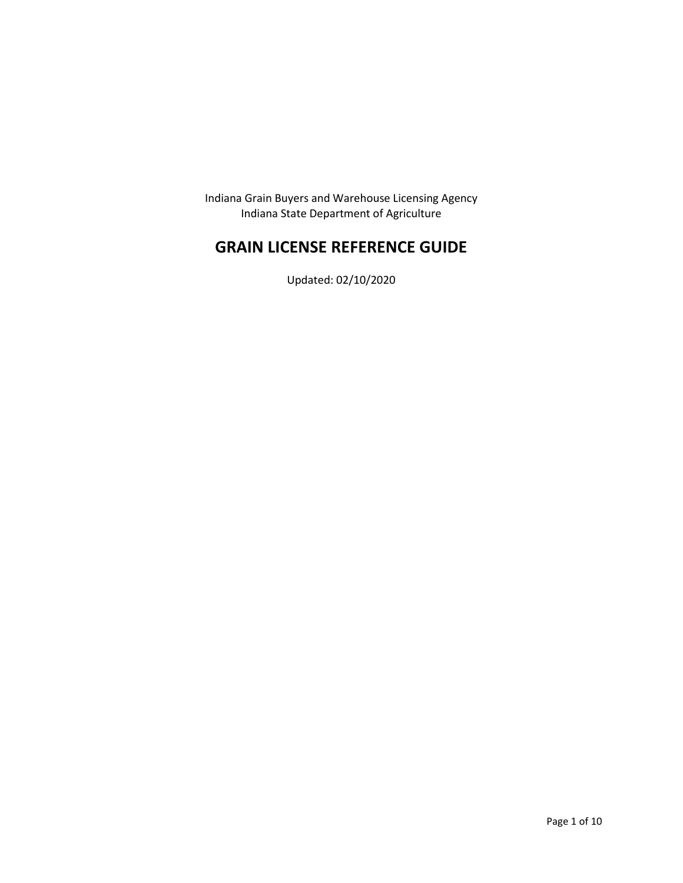Indiana Grain Buyers and Warehouse Licensing Agency Indiana State Department of Agriculture

# **GRAIN LICENSE REFERENCE GUIDE**

Updated: 02/10/2020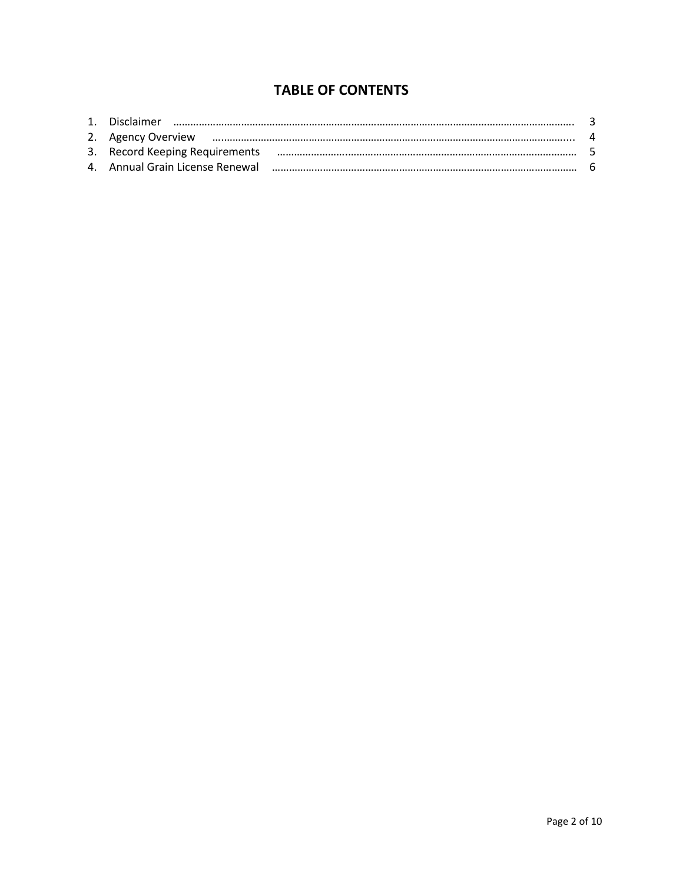## **TABLE OF CONTENTS**

|  | 2. Agency Overview происходим по последним происходим по подделжи по подделжи по подделжи по подделжи по для д | 4 |
|--|----------------------------------------------------------------------------------------------------------------|---|
|  |                                                                                                                |   |
|  | 4. Annual Grain License Renewal measurement measurement measurement measurement 6                              |   |
|  |                                                                                                                |   |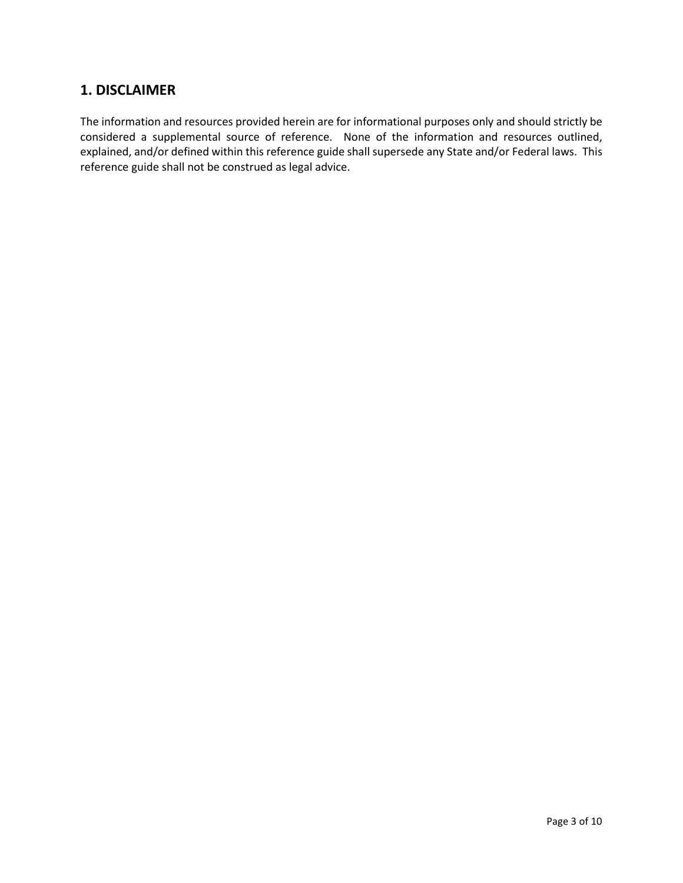## **1. DISCLAIMER**

The information and resources provided herein are for informational purposes only and should strictly be considered a supplemental source of reference. None of the information and resources outlined, explained, and/or defined within this reference guide shall supersede any State and/or Federal laws. This reference guide shall not be construed as legal advice.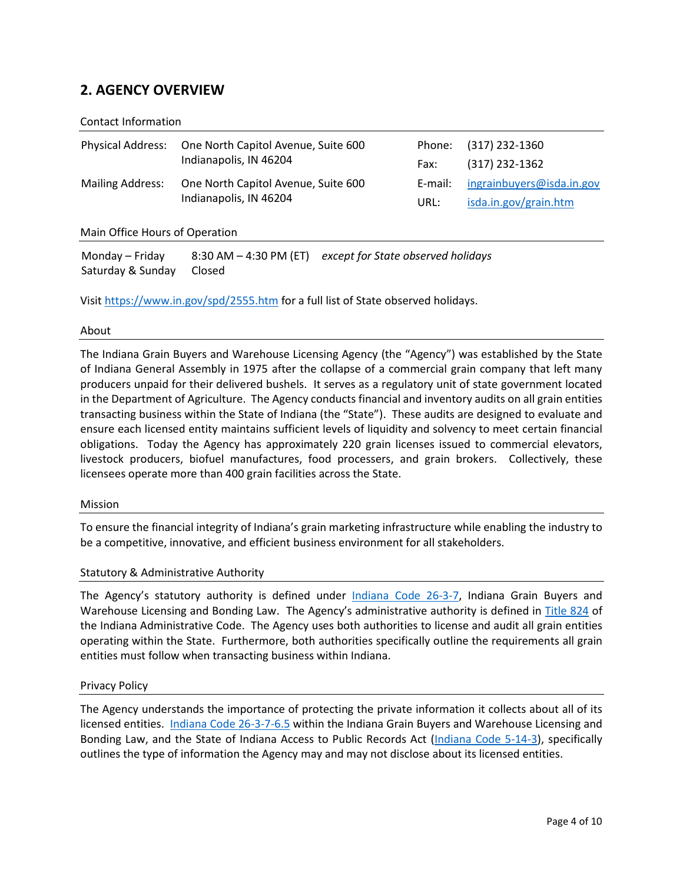## **2. AGENCY OVERVIEW**

#### Contact Information

| <b>Physical Address:</b> | One North Capitol Avenue, Suite 600                           |         | Phone: (317) 232-1360     |
|--------------------------|---------------------------------------------------------------|---------|---------------------------|
|                          | Indianapolis, IN 46204                                        | Fax:    | $(317)$ 232-1362          |
| Mailing Address:         | One North Capitol Avenue, Suite 600<br>Indianapolis, IN 46204 | E-mail: | ingrainbuyers@isda.in.gov |
|                          |                                                               | URL:    | isda.in.gov/grain.htm     |
|                          |                                                               |         |                           |

### Main Office Hours of Operation

Monday – Friday 8:30 AM – 4:30 PM (ET) *except for State observed holidays* Saturday & Sunday Closed

Visit<https://www.in.gov/spd/2555.htm> for a full list of State observed holidays.

#### About

The Indiana Grain Buyers and Warehouse Licensing Agency (the "Agency") was established by the State of Indiana General Assembly in 1975 after the collapse of a commercial grain company that left many producers unpaid for their delivered bushels. It serves as a regulatory unit of state government located in the Department of Agriculture. The Agency conducts financial and inventory audits on all grain entities transacting business within the State of Indiana (the "State"). These audits are designed to evaluate and ensure each licensed entity maintains sufficient levels of liquidity and solvency to meet certain financial obligations. Today the Agency has approximately 220 grain licenses issued to commercial elevators, livestock producers, biofuel manufactures, food processers, and grain brokers. Collectively, these licensees operate more than 400 grain facilities across the State.

#### Mission

To ensure the financial integrity of Indiana's grain marketing infrastructure while enabling the industry to be a competitive, innovative, and efficient business environment for all stakeholders.

#### Statutory & Administrative Authority

The Agency's statutory authority is defined under [Indiana Code 26-3-7,](http://iga.in.gov/legislative/laws/2019/ic/titles/026/#26-3-7) Indiana Grain Buyers and Warehouse Licensing and Bonding Law. The Agency's administrative authority is defined in [Title 824](http://iac.iga.in.gov/iac/iac_title?iact=824) of the Indiana Administrative Code. The Agency uses both authorities to license and audit all grain entities operating within the State. Furthermore, both authorities specifically outline the requirements all grain entities must follow when transacting business within Indiana.

#### Privacy Policy

The Agency understands the importance of protecting the private information it collects about all of its licensed entities. [Indiana Code 26-3-7-6.5](http://iga.in.gov/legislative/laws/2019/ic/titles/026/#26-3-7-6.5) within the Indiana Grain Buyers and Warehouse Licensing and Bonding Law, and the State of Indiana Access to Public Records Act [\(Indiana Code 5-14-3\)](http://iga.in.gov/legislative/laws/2019/ic/titles/005/#5-14-3), specifically outlines the type of information the Agency may and may not disclose about its licensed entities.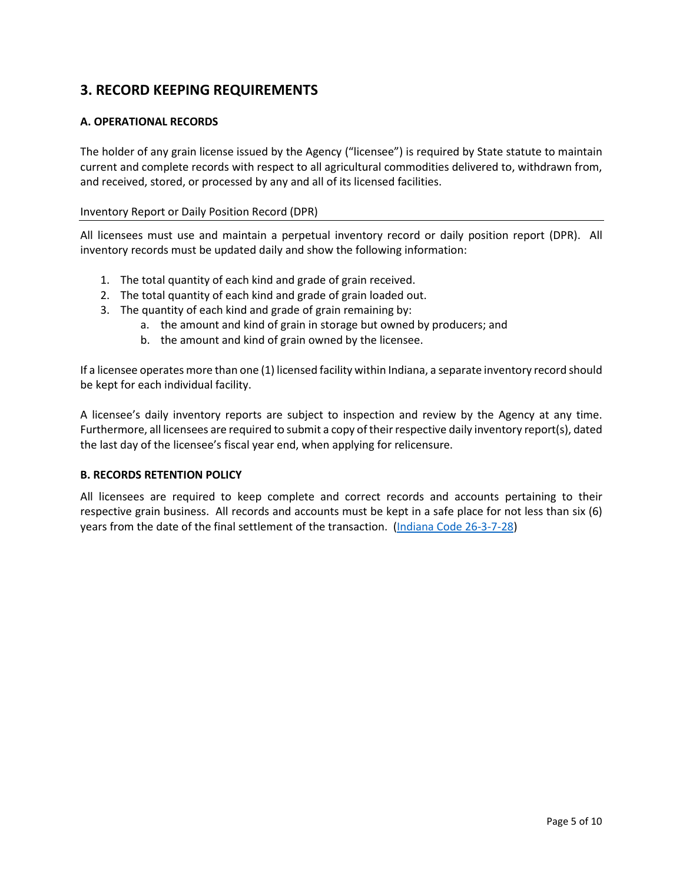## **3. RECORD KEEPING REQUIREMENTS**

## **A. OPERATIONAL RECORDS**

The holder of any grain license issued by the Agency ("licensee") is required by State statute to maintain current and complete records with respect to all agricultural commodities delivered to, withdrawn from, and received, stored, or processed by any and all of its licensed facilities.

### Inventory Report or Daily Position Record (DPR)

All licensees must use and maintain a perpetual inventory record or daily position report (DPR). All inventory records must be updated daily and show the following information:

- 1. The total quantity of each kind and grade of grain received.
- 2. The total quantity of each kind and grade of grain loaded out.
- 3. The quantity of each kind and grade of grain remaining by:
	- a. the amount and kind of grain in storage but owned by producers; and
	- b. the amount and kind of grain owned by the licensee.

If a licensee operates more than one (1) licensed facility within Indiana, a separate inventory record should be kept for each individual facility.

A licensee's daily inventory reports are subject to inspection and review by the Agency at any time. Furthermore, all licensees are required to submit a copy of their respective daily inventory report(s), dated the last day of the licensee's fiscal year end, when applying for relicensure.

## **B. RECORDS RETENTION POLICY**

All licensees are required to keep complete and correct records and accounts pertaining to their respective grain business. All records and accounts must be kept in a safe place for not less than six (6) years from the date of the final settlement of the transaction. [\(Indiana Code 26-3-7-28\)](http://iga.in.gov/legislative/laws/2019/ic/titles/026/#26-3-7-28)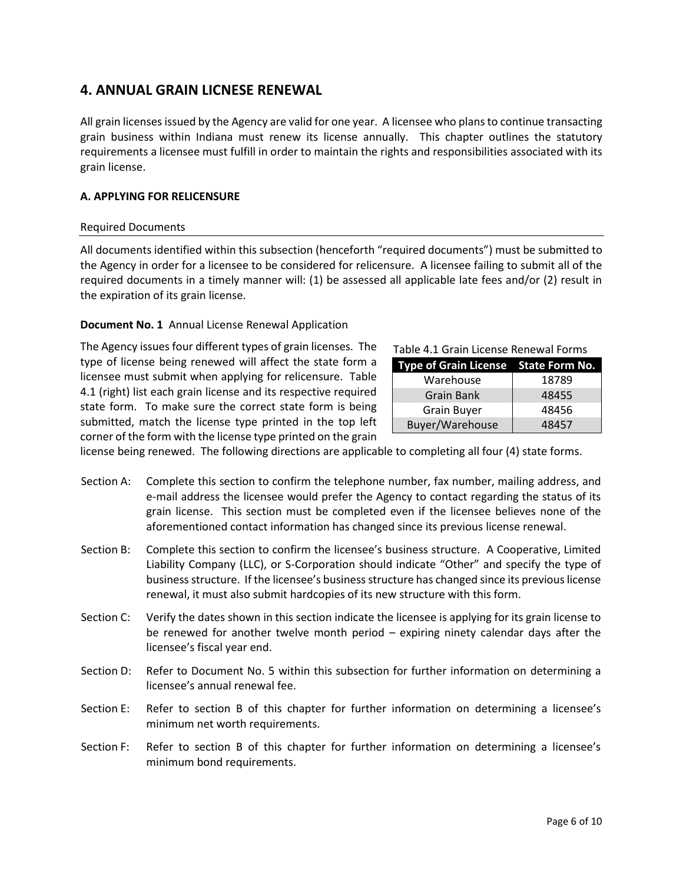## **4. ANNUAL GRAIN LICNESE RENEWAL**

All grain licenses issued by the Agency are valid for one year. A licensee who plansto continue transacting grain business within Indiana must renew its license annually. This chapter outlines the statutory requirements a licensee must fulfill in order to maintain the rights and responsibilities associated with its grain license.

## **A. APPLYING FOR RELICENSURE**

### Required Documents

All documents identified within this subsection (henceforth "required documents") must be submitted to the Agency in order for a licensee to be considered for relicensure. A licensee failing to submit all of the required documents in a timely manner will: (1) be assessed all applicable late fees and/or (2) result in the expiration of its grain license.

## **Document No. 1** Annual License Renewal Application

The Agency issues four different types of grain licenses. The type of license being renewed will affect the state form a licensee must submit when applying for relicensure. Table 4.1 (right) list each grain license and its respective required state form. To make sure the correct state form is being submitted, match the license type printed in the top left corner of the form with the license type printed on the grain

| Table 4.1 Grain License Renewal Forms |       |  |
|---------------------------------------|-------|--|
| Type of Grain License State Form No.  |       |  |
| Warehouse                             | 18789 |  |
| <b>Grain Bank</b>                     | 48455 |  |
| <b>Grain Buyer</b>                    | 48456 |  |
| Buyer/Warehouse                       | 48457 |  |

license being renewed. The following directions are applicable to completing all four (4) state forms.

- Section A: Complete this section to confirm the telephone number, fax number, mailing address, and e-mail address the licensee would prefer the Agency to contact regarding the status of its grain license. This section must be completed even if the licensee believes none of the aforementioned contact information has changed since its previous license renewal.
- Section B: Complete this section to confirm the licensee's business structure. A Cooperative, Limited Liability Company (LLC), or S-Corporation should indicate "Other" and specify the type of business structure. If the licensee's business structure has changed since its previous license renewal, it must also submit hardcopies of its new structure with this form.
- Section C: Verify the dates shown in this section indicate the licensee is applying for its grain license to be renewed for another twelve month period – expiring ninety calendar days after the licensee's fiscal year end.
- Section D: Refer to Document No. 5 within this subsection for further information on determining a licensee's annual renewal fee.
- Section E: Refer to section B of this chapter for further information on determining a licensee's minimum net worth requirements.
- Section F: Refer to section B of this chapter for further information on determining a licensee's minimum bond requirements.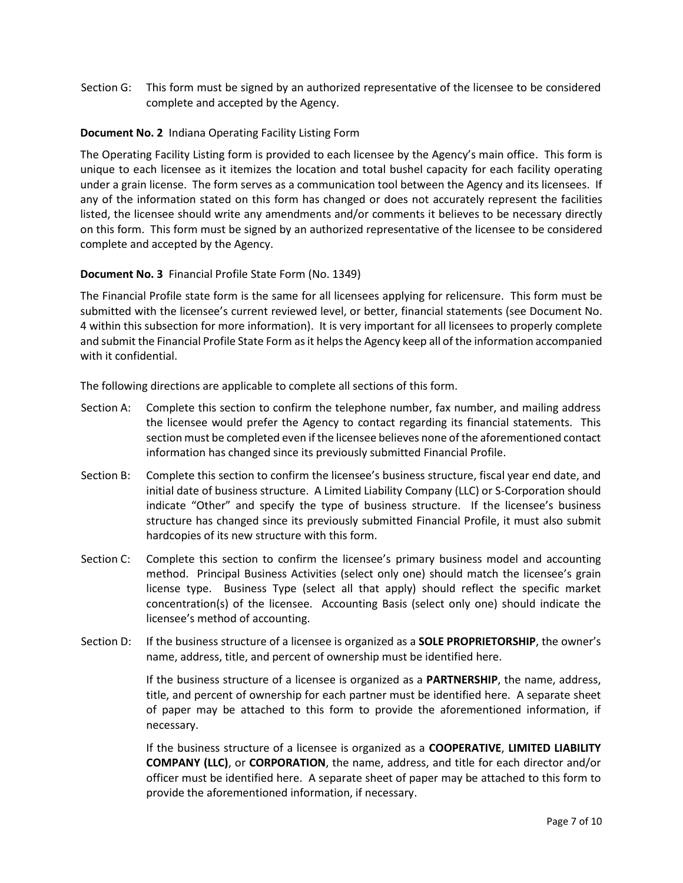Section G: This form must be signed by an authorized representative of the licensee to be considered complete and accepted by the Agency.

### **Document No. 2** Indiana Operating Facility Listing Form

The Operating Facility Listing form is provided to each licensee by the Agency's main office. This form is unique to each licensee as it itemizes the location and total bushel capacity for each facility operating under a grain license. The form serves as a communication tool between the Agency and its licensees. If any of the information stated on this form has changed or does not accurately represent the facilities listed, the licensee should write any amendments and/or comments it believes to be necessary directly on this form. This form must be signed by an authorized representative of the licensee to be considered complete and accepted by the Agency.

### **Document No. 3** Financial Profile State Form (No. 1349)

The Financial Profile state form is the same for all licensees applying for relicensure. This form must be submitted with the licensee's current reviewed level, or better, financial statements (see Document No. 4 within this subsection for more information). It is very important for all licensees to properly complete and submit the Financial Profile State Form as it helps the Agency keep all of the information accompanied with it confidential.

The following directions are applicable to complete all sections of this form.

- Section A: Complete this section to confirm the telephone number, fax number, and mailing address the licensee would prefer the Agency to contact regarding its financial statements. This section must be completed even if the licensee believes none of the aforementioned contact information has changed since its previously submitted Financial Profile.
- Section B: Complete this section to confirm the licensee's business structure, fiscal year end date, and initial date of business structure. A Limited Liability Company (LLC) or S-Corporation should indicate "Other" and specify the type of business structure. If the licensee's business structure has changed since its previously submitted Financial Profile, it must also submit hardcopies of its new structure with this form.
- Section C: Complete this section to confirm the licensee's primary business model and accounting method. Principal Business Activities (select only one) should match the licensee's grain license type. Business Type (select all that apply) should reflect the specific market concentration(s) of the licensee. Accounting Basis (select only one) should indicate the licensee's method of accounting.
- Section D: If the business structure of a licensee is organized as a **SOLE PROPRIETORSHIP**, the owner's name, address, title, and percent of ownership must be identified here.

If the business structure of a licensee is organized as a **PARTNERSHIP**, the name, address, title, and percent of ownership for each partner must be identified here. A separate sheet of paper may be attached to this form to provide the aforementioned information, if necessary.

If the business structure of a licensee is organized as a **COOPERATIVE**, **LIMITED LIABILITY COMPANY (LLC)**, or **CORPORATION**, the name, address, and title for each director and/or officer must be identified here. A separate sheet of paper may be attached to this form to provide the aforementioned information, if necessary.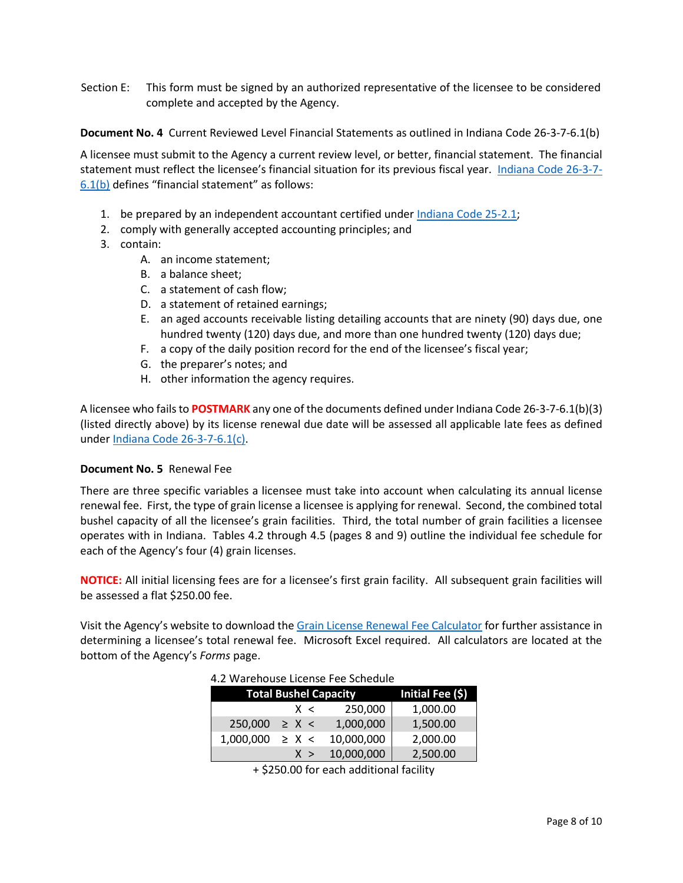Section E: This form must be signed by an authorized representative of the licensee to be considered complete and accepted by the Agency.

**Document No. 4** Current Reviewed Level Financial Statements as outlined in Indiana Code 26-3-7-6.1(b)

A licensee must submit to the Agency a current review level, or better, financial statement. The financial statement must reflect the licensee's financial situation for its previous fiscal year. [Indiana Code 26-3-7-](http://iga.in.gov/legislative/laws/2019/ic/titles/026/#26-3-7-6.1) [6.1\(b\)](http://iga.in.gov/legislative/laws/2019/ic/titles/026/#26-3-7-6.1) defines "financial statement" as follows:

- 1. be prepared by an independent accountant certified under [Indiana Code 25-2.1;](http://iga.in.gov/legislative/laws/2019/ic/titles/025/#25-2.1)
- 2. comply with generally accepted accounting principles; and
- 3. contain:
	- A. an income statement;
	- B. a balance sheet;
	- C. a statement of cash flow;
	- D. a statement of retained earnings;
	- E. an aged accounts receivable listing detailing accounts that are ninety (90) days due, one hundred twenty (120) days due, and more than one hundred twenty (120) days due;
	- F. a copy of the daily position record for the end of the licensee's fiscal year;
	- G. the preparer's notes; and
	- H. other information the agency requires.

A licensee who fails to **POSTMARK** any one of the documents defined under Indiana Code 26-3-7-6.1(b)(3) (listed directly above) by its license renewal due date will be assessed all applicable late fees as defined under [Indiana Code 26-3-7-6.1\(c\).](http://iga.in.gov/legislative/laws/2019/ic/titles/026/#26-3-7-6.1)

## **Document No. 5** Renewal Fee

There are three specific variables a licensee must take into account when calculating its annual license renewal fee. First, the type of grain license a licensee is applying for renewal. Second, the combined total bushel capacity of all the licensee's grain facilities. Third, the total number of grain facilities a licensee operates with in Indiana. Tables 4.2 through 4.5 (pages 8 and 9) outline the individual fee schedule for each of the Agency's four (4) grain licenses.

**NOTICE:** All initial licensing fees are for a licensee's first grain facility. All subsequent grain facilities will be assessed a flat \$250.00 fee.

Visit the Agency's website to download the [Grain License Renewal Fee Calculator](https://www.in.gov/isda/2401.htm) for further assistance in determining a licensee's total renewal fee. Microsoft Excel required. All calculators are located at the bottom of the Agency's *Forms* page.

4.2 Warehouse License Fee Schedule

| <b>Total Bushel Capacity</b> | Initial Fee (\$) |     |            |          |
|------------------------------|------------------|-----|------------|----------|
|                              |                  | X < | 250,000    | 1,000.00 |
| 250,000                      | $\geq$ X $\lt$   |     | 1,000,000  | 1,500.00 |
| 1,000,000                    | $\geq$ X $\lt$   |     | 10,000,000 | 2,000.00 |
|                              | X >              |     | 10,000,000 | 2,500.00 |

+ \$250.00 for each additional facility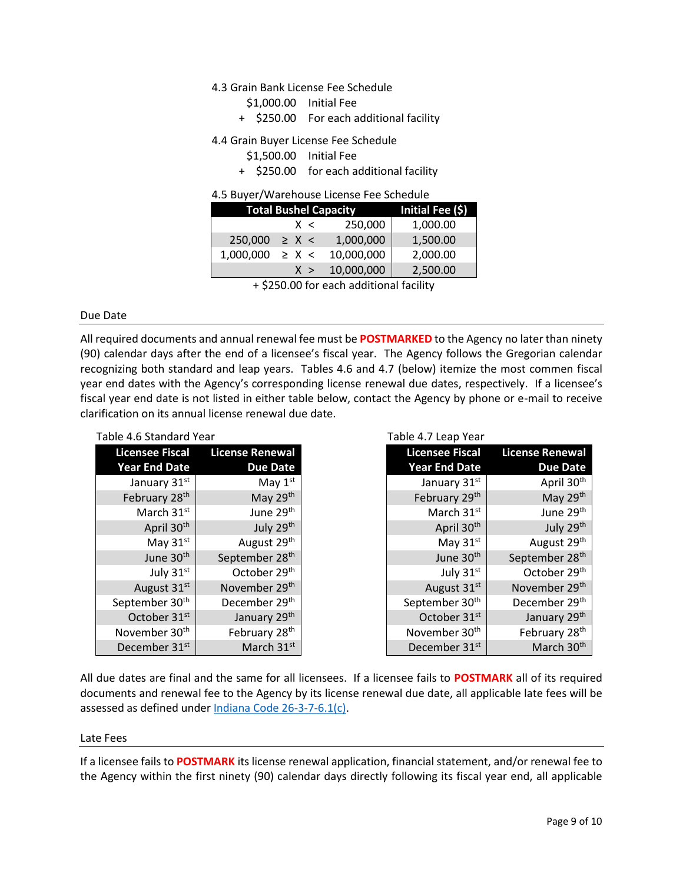### 4.3 Grain Bank License Fee Schedule

#### \$1,000.00 Initial Fee

+ \$250.00 For each additional facility

### 4.4 Grain Buyer License Fee Schedule

- \$1,500.00 Initial Fee
- + \$250.00 for each additional facility

### 4.5 Buyer/Warehouse License Fee Schedule

|           | <b>Total Bushel Capacity</b> |            | Initial Fee (\$) |
|-----------|------------------------------|------------|------------------|
|           | X <                          | 250,000    | 1,000.00         |
| 250,000   | $\geq$ X $\lt$               | 1,000,000  | 1,500.00         |
| 1,000,000 | $\geq$ X $\lt$               | 10,000,000 | 2,000.00         |
|           | X >                          | 10,000,000 | 2,500.00         |
|           | $\cdots$                     |            |                  |

+ \$250.00 for each additional facility

#### Due Date

All required documents and annual renewal fee must be **POSTMARKED** to the Agency no later than ninety (90) calendar days after the end of a licensee's fiscal year. The Agency follows the Gregorian calendar recognizing both standard and leap years. Tables 4.6 and 4.7 (below) itemize the most commen fiscal year end dates with the Agency's corresponding license renewal due dates, respectively. If a licensee's fiscal year end date is not listed in either table below, contact the Agency by phone or e-mail to receive clarification on its annual license renewal due date.

| Licensee Fiscal — License Renewal |                           |
|-----------------------------------|---------------------------|
| Due Date                          | Year End Date             |
| May $1st$                         | January 31st              |
| May 29th                          | February 28 <sup>th</sup> |

May  $31^{st}$  August  $29^{th}$ June 30<sup>th</sup> September 28<sup>th</sup> July  $31^{st}$  October 29<sup>th</sup> August  $31^{st}$  November 29<sup>th</sup> September  $30<sup>th</sup>$  December 29<sup>th</sup> October 31st  $J$  January 29<sup>th</sup> November  $30<sup>th</sup>$  February 28<sup>th</sup> December  $31^{st}$  March  $31^{st}$ 

| Table 4.6 Standard Year | Table 4.7 Leap Year |
|-------------------------|---------------------|
|-------------------------|---------------------|

| censee Fiscal             | <b>License Renewal</b>     | <b>Licensee Fiscal</b>     | <b>License Renewal</b>     |
|---------------------------|----------------------------|----------------------------|----------------------------|
| ear End Date              | <b>Due Date</b>            | <b>Year End Date</b>       | <b>Due Date</b>            |
| January 31st              | May $1st$                  | January 31st               | April 30 <sup>th</sup>     |
| February 28 <sup>th</sup> | May 29th                   | February 29th              | May 29th                   |
| March 31 <sup>st</sup>    | June 29 <sup>th</sup>      | March 31 <sup>st</sup>     | June 29 <sup>th</sup>      |
| April 30 <sup>th</sup>    | July 29 <sup>th</sup>      | April 30 <sup>th</sup>     | July 29 <sup>th</sup>      |
| May $31st$                | August 29 <sup>th</sup>    | May $31st$                 | August 29 <sup>th</sup>    |
| June 30 <sup>th</sup>     | September 28 <sup>th</sup> | June 30 <sup>th</sup>      | September 28 <sup>th</sup> |
| July 31st                 | October 29th               | July 31st                  | October 29th               |
| August 31 <sup>st</sup>   | November 29th              | August 31st                | November 29th              |
| ptember 30 <sup>th</sup>  | December 29th              | September 30 <sup>th</sup> | December 29th              |
| October 31 <sup>st</sup>  | January 29 <sup>th</sup>   | October 31 <sup>st</sup>   | January 29 <sup>th</sup>   |
| ovember 30 <sup>th</sup>  | February 28th              | November 30 <sup>th</sup>  | February 28 <sup>th</sup>  |
| )ecember 31 $^{\rm st}$ . | March 31 <sup>st</sup>     | December 31 <sup>st</sup>  | March 30 <sup>th</sup>     |

All due dates are final and the same for all licensees. If a licensee fails to **POSTMARK** all of its required documents and renewal fee to the Agency by its license renewal due date, all applicable late fees will be assessed as defined unde[r Indiana Code 26-3-7-6.1\(c\).](http://iga.in.gov/legislative/laws/2019/ic/titles/026/#26-3-7-6.1)

#### Late Fees

If a licensee fails to **POSTMARK** its license renewal application, financial statement, and/or renewal fee to the Agency within the first ninety (90) calendar days directly following its fiscal year end, all applicable